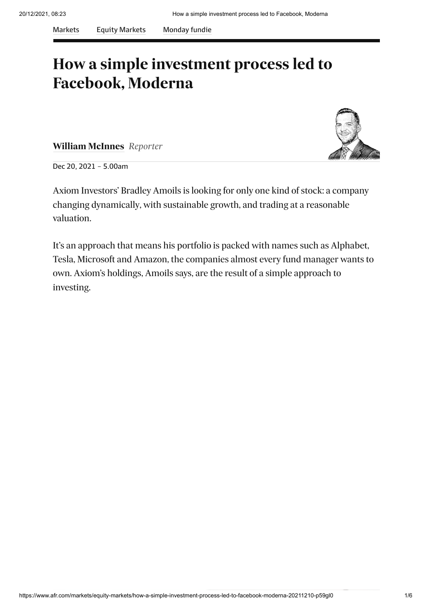#### **How a simple investment process led to Facebook, Moderna**

**[William McInnes](https://www.afr.com/by/william-mcinnes-h10fjy)** *Reporter*



Dec 20, 2021 – 5.00am

Axiom Investors' Bradley Amoils is looking for only one kind of stock: a company changing dynamically, with sustainable growth, and trading at a reasonable valuation.

It's an approach that means his portfolio is packed with names such as Alphabet, Tesla, Microsoft and Amazon, the companies almost every fund manager wants to own. Axiom's holdings, Amoils says, are the result of a simple approach to investing.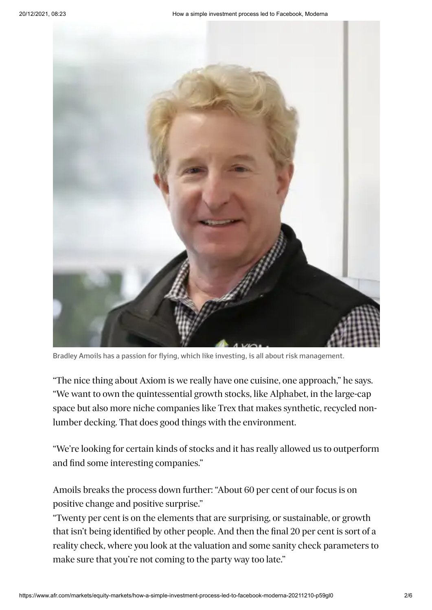

Bradley Amoils has a passion for flying, which like investing, is all about risk management.

"The nice thing about Axiom is we really have one cuisine, one approach," he says. "We want to own the quintessential growth stocks, [like Alphabet](https://www.afr.com/link/follow-20180101-p593pz), in the large-cap space but also more niche companies like Trex that makes synthetic, recycled nonlumber decking. That does good things with the environment.

"We're looking for certain kinds of stocks and it has really allowed us to outperform and find some interesting companies."

Amoils breaks the process down further: "About 60 per cent of our focus is on positive change and positive surprise."

"Twenty per cent is on the elements that are surprising, or sustainable, or growth that isn't being identified by other people. And then the final 20 per cent is sort of a reality check, where you look at the valuation and some sanity check parameters to make sure that you're not coming to the party way too late."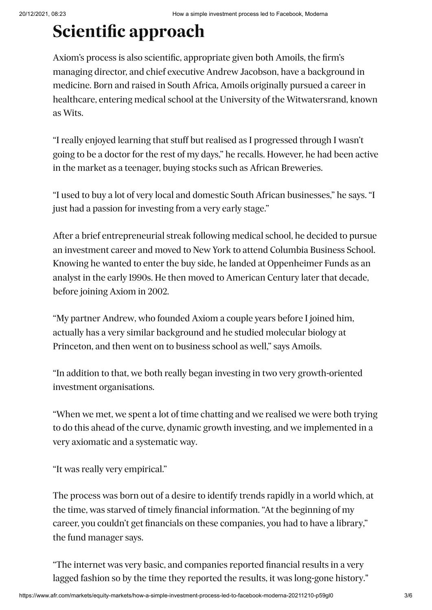## **Scientific approach**

Axiom's process is also scientific, appropriate given both Amoils, the firm's managing director, and chief executive Andrew Jacobson, have a background in medicine. Born and raised in South Africa, Amoils originally pursued a career in healthcare, entering medical school at the University of the Witwatersrand, known as Wits.

"I really enjoyed learning that stuff but realised as I progressed through I wasn't going to be a doctor for the rest of my days," he recalls. However, he had been active in the market as a teenager, buying stocks such as African Breweries.

"I used to buy a lot of very local and domestic South African businesses," he says. "I just had a passion for investing from a very early stage."

After a brief entrepreneurial streak following medical school, he decided to pursue an investment career and moved to New York to attend Columbia Business School. Knowing he wanted to enter the buy side, he landed at Oppenheimer Funds as an analyst in the early 1990s. He then moved to American Century later that decade, before joining Axiom in 2002.

"My partner Andrew, who founded Axiom a couple years before I joined him, actually has a very similar background and he studied molecular biology at Princeton, and then went on to business school as well," says Amoils.

"In addition to that, we both really began investing in two very growth-oriented investment organisations.

"When we met, we spent a lot of time chatting and we realised we were both trying to do this ahead of the curve, dynamic growth investing, and we implemented in a very axiomatic and a systematic way.

"It was really very empirical."

The process was born out of a desire to identify trends rapidly in a world which, at the time, was starved of timely financial information. "At the beginning of my career, you couldn't get financials on these companies, you had to have a library," the fund manager says.

"The internet was very basic, and companies reported financial results in a very lagged fashion so by the time they reported the results, it was long-gone history."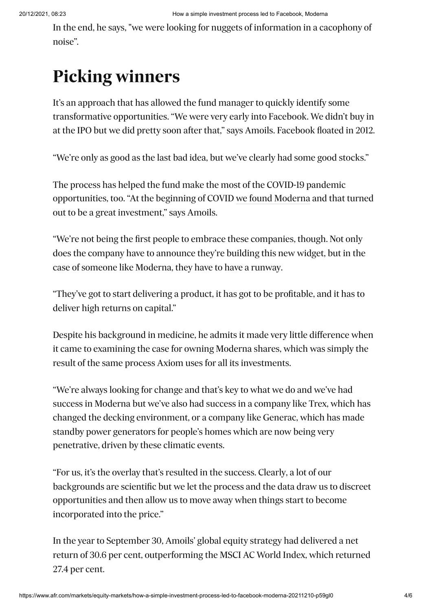In the end, he says, "we were looking for nuggets of information in a cacophony of noise".

# **Picking winners**

It's an approach that has allowed the fund manager to quickly identify some transformative opportunities. "We were very early into Facebook. We didn't buy in at the IPO but we did pretty soon after that," says Amoils. Facebook floated in 2012.

"We're only as good as the last bad idea, but we've clearly had some good stocks."

The process has helped the fund make the most of the COVID-19 pandemic opportunities, too. "At the beginning of COVID [we found Moderna](https://www.afr.com/link/follow-20180101-p59hlk) and that turned out to be a great investment," says Amoils.

"We're not being the first people to embrace these companies, though. Not only does the company have to announce they're building this new widget, but in the case of someone like Moderna, they have to have a runway.

"They've got to start delivering a product, it has got to be profitable, and it has to deliver high returns on capital."

Despite his background in medicine, he admits it made very little difference when it came to examining the case for owning Moderna shares, which was simply the result of the same process Axiom uses for all its investments.

"We're always looking for change and that's key to what we do and we've had success in Moderna but we've also had success in a company like Trex, which has changed the decking environment, or a company like Generac, which has made standby power generators for people's homes which are now being very penetrative, driven by these climatic events.

"For us, it's the overlay that's resulted in the success. Clearly, a lot of our backgrounds are scientific but we let the process and the data draw us to discreet opportunities and then allow us to move away when things start to become incorporated into the price."

In the year to September 30, Amoils' global equity strategy had delivered a net return of 30.6 per cent, outperforming the MSCI AC World Index, which returned 27.4 per cent.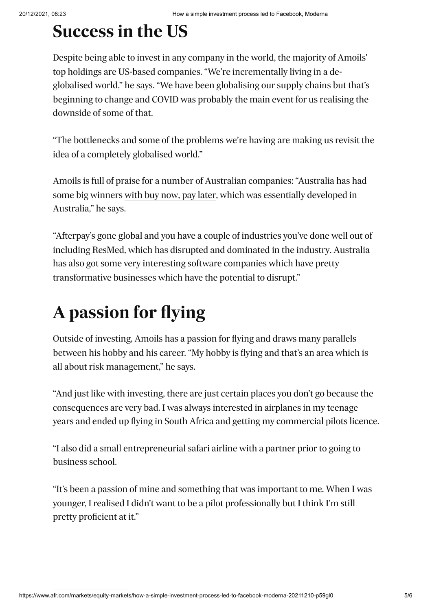## **Success in the US**

Despite being able to invest in any company in the world, the majority of Amoils' top holdings are US-based companies. "We're incrementally living in a deglobalised world," he says. "We have been globalising our supply chains but that's beginning to change and COVID was probably the main event for us realising the downside of some of that.

"The bottlenecks and some of the problems we're having are making us revisit the idea of a completely globalised world."

Amoils is full of praise for a number of Australian companies: "Australia has had some big winners [with buy now, pay later,](https://www.afr.com/link/follow-20180101-p59had) which was essentially developed in Australia," he says.

"Afterpay's gone global and you have a couple of industries you've done well out of including ResMed, which has disrupted and dominated in the industry. Australia has also got some very interesting software companies which have pretty transformative businesses which have the potential to disrupt."

# **A passion for flying**

Outside of investing, Amoils has a passion for flying and draws many parallels between his hobby and his career. "My hobby is flying and that's an area which is all about risk management," he says.

"And just like with investing, there are just certain places you don't go because the consequences are very bad. I was always interested in airplanes in my teenage years and ended up flying in South Africa and getting my commercial pilots licence.

"I also did a small entrepreneurial safari airline with a partner prior to going to business school.

"It's been a passion of mine and something that was important to me. When I was younger, I realised I didn't want to be a pilot professionally but I think I'm still pretty proficient at it."